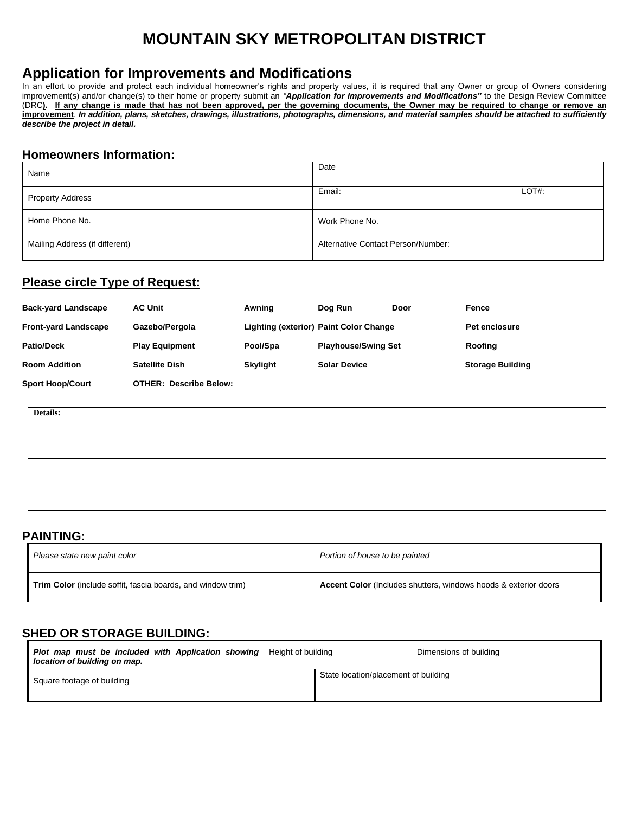# **MOUNTAIN SKY METROPOLITAN DISTRICT**

# **Application for Improvements and Modifications**

In an effort to provide and protect each individual homeowner's rights and property values, it is required that any Owner or group of Owners considering improvement(s) and/or change(s) to their home or property submit an *"Application for Improvements and Modifications"* to the Design Review Committee (DRC**). If any change is made that has not been approved, per the governing documents, the Owner may be required to change or remove an improvement**. *In addition, plans, sketches, drawings, illustrations, photographs, dimensions, and material samples should be attached to sufficiently describe the project in detail.*

#### **Homeowners Information:**

| Name                           | Date                               |
|--------------------------------|------------------------------------|
| <b>Property Address</b>        | Email:<br>$LOT#$ :                 |
| Home Phone No.                 | Work Phone No.                     |
| Mailing Address (if different) | Alternative Contact Person/Number: |

#### **Please circle Type of Request:**

| <b>Back-yard Landscape</b>  | <b>AC Unit</b>                | Awning                                 | Dog Run                    | Door | Fence                   |
|-----------------------------|-------------------------------|----------------------------------------|----------------------------|------|-------------------------|
| <b>Front-yard Landscape</b> | Gazebo/Pergola                | Lighting (exterior) Paint Color Change |                            |      | <b>Pet enclosure</b>    |
| <b>Patio/Deck</b>           | <b>Play Equipment</b>         | Pool/Spa                               | <b>Playhouse/Swing Set</b> |      | Roofing                 |
| <b>Room Addition</b>        | <b>Satellite Dish</b>         | <b>Skylight</b>                        | <b>Solar Device</b>        |      | <b>Storage Building</b> |
| <b>Sport Hoop/Court</b>     | <b>OTHER: Describe Below:</b> |                                        |                            |      |                         |

| Details: |  |
|----------|--|
|          |  |
|          |  |
|          |  |
|          |  |

### **PAINTING:**

| Please state new paint color                                       | Portion of house to be painted                                  |
|--------------------------------------------------------------------|-----------------------------------------------------------------|
| <b>Trim Color</b> (include soffit, fascia boards, and window trim) | Accent Color (Includes shutters, windows hoods & exterior doors |

# **SHED OR STORAGE BUILDING:**

| <b>Plot map must be included with Application showing</b>   Height of building<br>location of building on map. |                                      | Dimensions of building |
|----------------------------------------------------------------------------------------------------------------|--------------------------------------|------------------------|
| Square footage of building                                                                                     | State location/placement of building |                        |